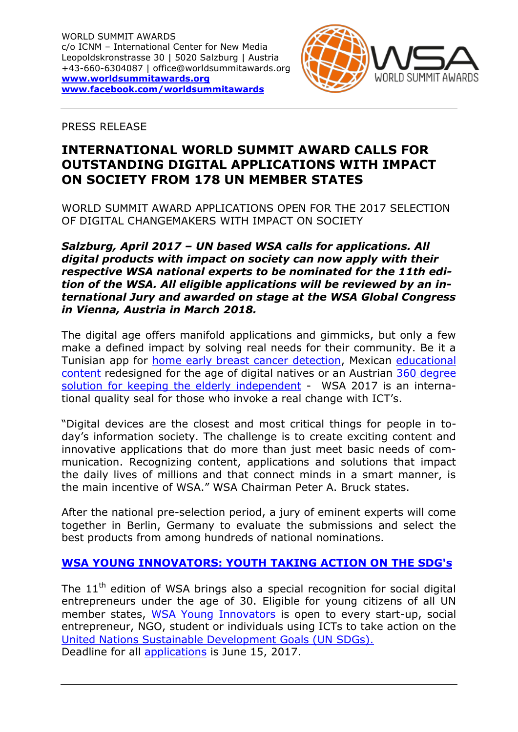

PRESS RELEASE

# **INTERNATIONAL WORLD SUMMIT AWARD CALLS FOR OUTSTANDING DIGITAL APPLICATIONS WITH IMPACT ON SOCIETY FROM 178 UN MEMBER STATES**

WORLD SUMMIT AWARD APPLICATIONS OPEN FOR THE 2017 SELECTION OF DIGITAL CHANGEMAKERS WITH IMPACT ON SOCIETY

### *Salzburg, April 2017 – UN based WSA calls for applications. All digital products with impact on society can now apply with their respective WSA national experts to be nominated for the 11th edition of the WSA. All eligible applications will be reviewed by an international Jury and awarded on stage at the WSA Global Congress in Vienna, Austria in March 2018.*

The digital age offers manifold applications and gimmicks, but only a few make a defined impact by solving real needs for their community. Be it a Tunisian app for [home early breast cancer detection,](https://www.worldsummitawards.org/winner/iris/) Mexican [educational](https://www.worldsummitawards.org/winner/tak-tak-tak/)  [content](https://www.worldsummitawards.org/winner/tak-tak-tak/) redesigned for the age of digital natives or an Austrian [360 degree](https://www.worldsummitawards.org/winner/emma-flexible-living-assistant/)  [solution for keeping the elderly independent](https://www.worldsummitawards.org/winner/emma-flexible-living-assistant/) - WSA 2017 is an international quality seal for those who invoke a real change with ICT's.

"Digital devices are the closest and most critical things for people in today's information society. The challenge is to create exciting content and innovative applications that do more than just meet basic needs of communication. Recognizing content, applications and solutions that impact the daily lives of millions and that connect minds in a smart manner, is the main incentive of WSA." WSA Chairman Peter A. Bruck states.

After the national pre-selection period, a jury of eminent experts will come together in Berlin, Germany to evaluate the submissions and select the best products from among hundreds of national nominations.

## **[WSA YOUNG INNOVATORS: YOUTH TAKING ACTION ON THE SDG's](https://www.worldsummitawards.org/wsa_categories/youth-innovation-category/)**

The  $11<sup>th</sup>$  edition of WSA brings also a special recognition for social digital entrepreneurs under the age of 30. Eligible for young citizens of all UN member states, [WSA Young Innovators](https://www.worldsummitawards.org/wsa_categories/youth-innovation-category/) is open to every start-up, social entrepreneur, NGO, student or individuals using ICTs to take action on the United Nations [Sustainable Development Goals \(UN SDGs\).](http://www.un.org/sustainabledevelopment/sustainable-development-goals/)  Deadline for all [applications](https://www.worldsummitawards.org/wsa-awards/contest/apply/) is June 15, 2017.